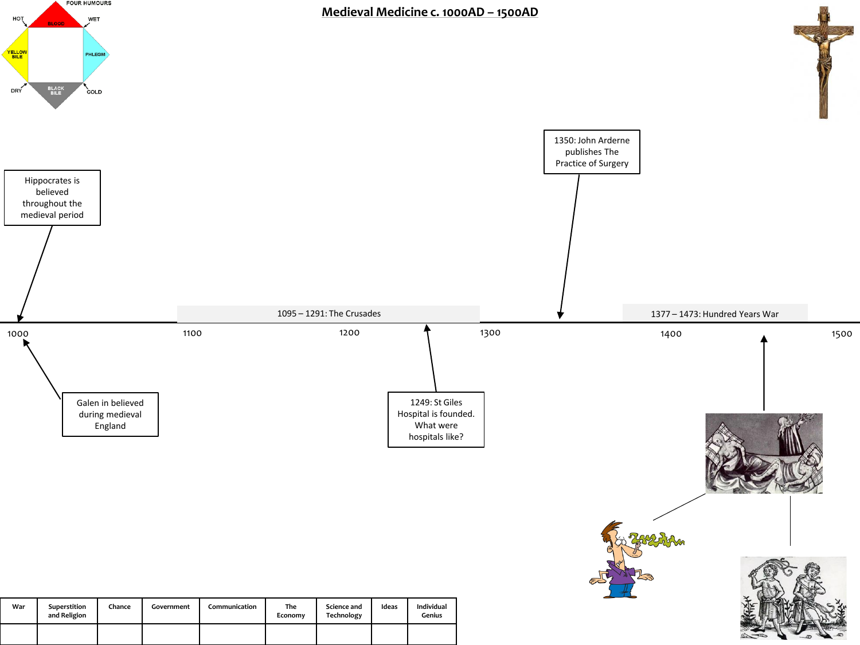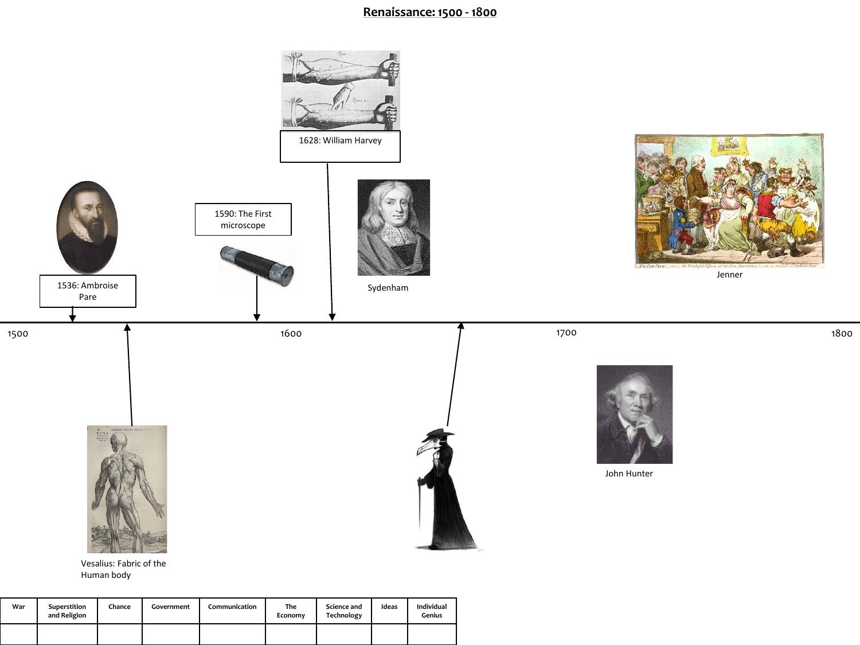## **Renaissance: 1500 - 1800**



| War | Superstition<br>and Religion | Chance | Government | Communication | The<br>Economy | Science and<br>Technology | Ideas | Individual<br>Genius |
|-----|------------------------------|--------|------------|---------------|----------------|---------------------------|-------|----------------------|
|     |                              |        |            |               |                |                           |       |                      |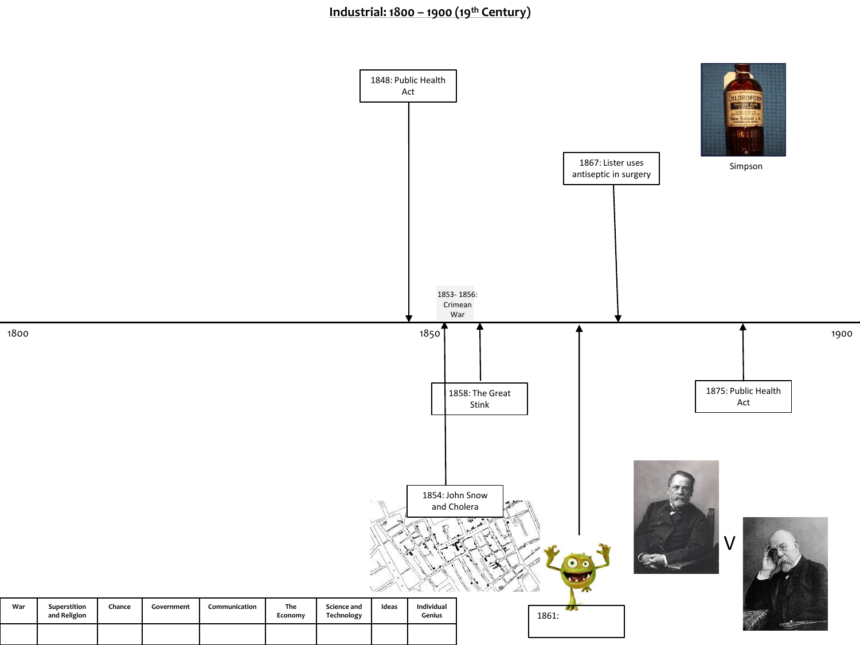## **Industrial: 1800 – 1900 (19th Century)**